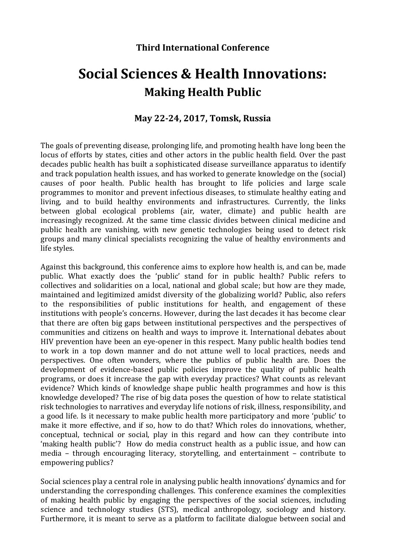## **Third International Conference**

## **Social Sciences & Health Innovations: Making Health Public**

## **May 22-24, 2017, Tomsk, Russia**

The goals of preventing disease, prolonging life, and promoting health have long been the locus of efforts by states, cities and other actors in the public health field. Over the past decades public health has built a sophisticated disease surveillance apparatus to identify and track population health issues, and has worked to generate knowledge on the (social) causes of poor health. Public health has brought to life policies and large scale programmes to monitor and prevent infectious diseases, to stimulate healthy eating and living, and to build healthy environments and infrastructures. Currently, the links between global ecological problems (air, water, climate) and public health are increasingly recognized. At the same time classic divides between clinical medicine and public health are vanishing, with new genetic technologies being used to detect risk groups and many clinical specialists recognizing the value of healthy environments and life styles.

Against this background, this conference aims to explore how health is, and can be, made public. What exactly does the 'public' stand for in public health? Public refers to collectives and solidarities on a local, national and global scale; but how are they made, maintained and legitimized amidst diversity of the globalizing world? Public, also refers to the responsibilities of public institutions for health, and engagement of these institutions with people's concerns. However, during the last decades it has become clear that there are often big gaps between institutional perspectives and the perspectives of communities and citizens on health and ways to improve it. International debates about HIV prevention have been an eye-opener in this respect. Many public health bodies tend to work in a top down manner and do not attune well to local practices, needs and perspectives. One often wonders, where the publics of public health are. Does the development of evidence-based public policies improve the quality of public health programs, or does it increase the gap with everyday practices? What counts as relevant evidence? Which kinds of knowledge shape public health programmes and how is this knowledge developed? The rise of big data poses the question of how to relate statistical risk technologies to narratives and everyday life notions of risk, illness, responsibility, and a good life. Is it necessary to make public health more participatory and more 'public' to make it more effective, and if so, how to do that? Which roles do innovations, whether, conceptual, technical or social, play in this regard and how can they contribute into 'making health public'? How do media construct health as a public issue, and how can media – through encouraging literacy, storytelling, and entertainment – contribute to empowering publics?

Social sciences play a central role in analysing public health innovations' dynamics and for understanding the corresponding challenges. This conference examines the complexities of making health public by engaging the perspectives of the social sciences, including science and technology studies (STS), medical anthropology, sociology and history. Furthermore, it is meant to serve as a platform to facilitate dialogue between social and